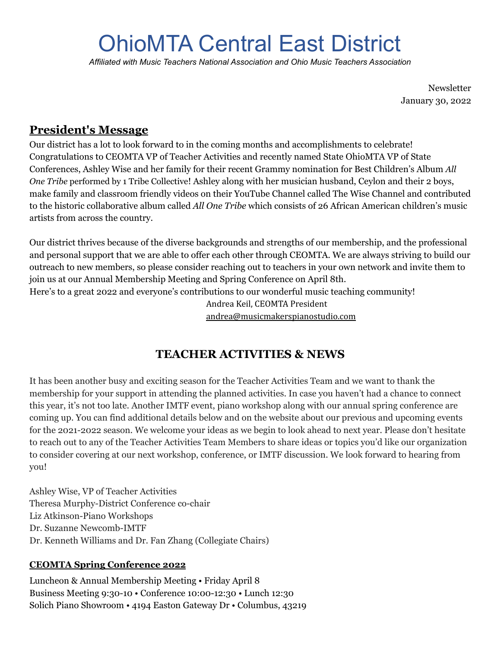# OhioMTA Central East District

*Affiliated with Music Teachers National Association and Ohio Music Teachers Association*

Newsletter January 30, 2022

### **President's Message**

Our district has a lot to look forward to in the coming months and accomplishments to celebrate! Congratulations to CEOMTA VP of Teacher Activities and recently named State OhioMTA VP of State Conferences, Ashley Wise and her family for their recent Grammy nomination for Best Children's Album *[All](https://kidsrhythmandrock.com/coming-juneteenth-all-one-tribe/) [One Tribe](https://kidsrhythmandrock.com/coming-juneteenth-all-one-tribe/)* performed by 1 Tribe Collective! Ashley along with her musician husband, Ceylon and their 2 boys, make family and classroom friendly videos on their YouTube Channel called The Wise Channel and contributed to the historic collaborative album called *All One Tribe* which consists of 26 African American children's music artists from across the country.

Our district thrives because of the diverse backgrounds and strengths of our membership, and the professional and personal support that we are able to offer each other through CEOMTA. We are always striving to build our outreach to new members, so please consider reaching out to teachers in your own network and invite them to join us at our Annual Membership Meeting and Spring Conference on April 8th.

Here's to a great 2022 and everyone's contributions to our wonderful music teaching community!

Andrea Keil, CEOMTA President

[andrea@musicmakerspianostudio.com](mailto:andrea@musicmakerspianostudio.com)

# **TEACHER ACTIVITIES & NEWS**

It has been another busy and exciting season for the Teacher Activities Team and we want to thank the membership for your support in attending the planned activities. In case you haven't had a chance to connect this year, it's not too late. Another IMTF event, piano workshop along with our annual spring conference are coming up. You can find additional details below and on the website about our previous and upcoming events for the 2021-2022 season. We welcome your ideas as we begin to look ahead to next year. Please don't hesitate to reach out to any of the Teacher Activities Team Members to share ideas or topics you'd like our organization to consider covering at our next workshop, conference, or IMTF discussion. We look forward to hearing from you!

Ashley Wise, VP of Teacher Activities Theresa Murphy-District Conference co-chair Liz Atkinson-Piano Workshops Dr. Suzanne Newcomb-IMTF Dr. Kenneth Williams and Dr. Fan Zhang (Collegiate Chairs)

#### **CEOMTA Spring Conference 2022**

Luncheon & Annual Membership Meeting • Friday April 8 Business Meeting 9:30-10 • Conference 10:00-12:30 • Lunch 12:30 Solich Piano Showroom • 4194 Easton Gateway Dr • Columbus, 43219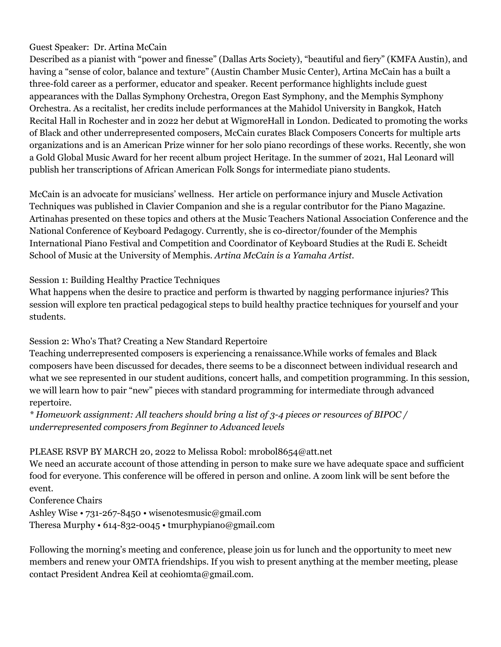#### Guest Speaker: Dr. Artina McCain

Described as a pianist with "power and finesse" (Dallas Arts Society), "beautiful and fiery" (KMFA Austin), and having a "sense of color, balance and texture" (Austin Chamber Music Center), Artina McCain has a built a three-fold career as a performer, educator and speaker. Recent performance highlights include guest appearances with the Dallas Symphony Orchestra, Oregon East Symphony, and the Memphis Symphony Orchestra. As a recitalist, her credits include performances at the Mahidol University in Bangkok, Hatch Recital Hall in Rochester and in 2022 her debut at WigmoreHall in London. Dedicated to promoting the works of Black and other underrepresented composers, McCain curates Black Composers Concerts for multiple arts organizations and is an American Prize winner for her solo piano recordings of these works. Recently, she won a Gold Global Music Award for her recent album project Heritage. In the summer of 2021, Hal Leonard will publish her transcriptions of African American Folk Songs for intermediate piano students.

McCain is an advocate for musicians' wellness. Her article on performance injury and Muscle Activation Techniques was published in Clavier Companion and she is a regular contributor for the Piano Magazine. Artinahas presented on these topics and others at the Music Teachers National Association Conference and the National Conference of Keyboard Pedagogy. Currently, she is co-director/founder of the Memphis International Piano Festival and Competition and Coordinator of Keyboard Studies at the Rudi E. Scheidt School of Music at the University of Memphis. *Artina McCain is a Yamaha Artist.*

Session 1: Building Healthy Practice Techniques

What happens when the desire to practice and perform is thwarted by nagging performance injuries? This session will explore ten practical pedagogical steps to build healthy practice techniques for yourself and your students.

#### Session 2: Who's That? Creating a New Standard Repertoire

Teaching underrepresented composers is experiencing a renaissance.While works of females and Black composers have been discussed for decades, there seems to be a disconnect between individual research and what we see represented in our student auditions, concert halls, and competition programming. In this session, we will learn how to pair "new" pieces with standard programming for intermediate through advanced repertoire.

*\* Homework assignment: All teachers should bring a list of 3-4 pieces or resources of BIPOC / underrepresented composers from Beginner to Advanced levels*

#### PLEASE RSVP BY MARCH 20, 2022 to Melissa Robol: mrobol8654@att.net

We need an accurate account of those attending in person to make sure we have adequate space and sufficient food for everyone. This conference will be offered in person and online. A zoom link will be sent before the event.

Conference Chairs Ashley Wise • 731-267-8450 • wisenotesmusic@gmail.com Theresa Murphy • 614-832-0045 • tmurphypiano@gmail.com

Following the morning's meeting and conference, please join us for lunch and the opportunity to meet new members and renew your OMTA friendships. If you wish to present anything at the member meeting, please contact President Andrea Keil at ceohiomta@gmail.com.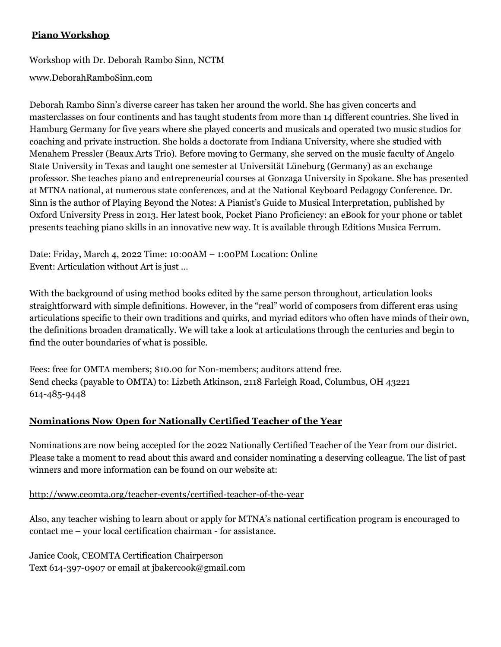#### **Piano Workshop**

Workshop with Dr. Deborah Rambo Sinn, NCTM

[www.DeborahRamboSinn.com](http://www.deborahrambosinn.com/)

Deborah Rambo Sinn's diverse career has taken her around the world. She has given concerts and masterclasses on four continents and has taught students from more than 14 different countries. She lived in Hamburg Germany for five years where she played concerts and musicals and operated two music studios for coaching and private instruction. She holds a doctorate from Indiana University, where she studied with Menahem Pressler (Beaux Arts Trio). Before moving to Germany, she served on the music faculty of Angelo State University in Texas and taught one semester at Universität Lüneburg (Germany) as an exchange professor. She teaches piano and entrepreneurial courses at Gonzaga University in Spokane. She has presented at MTNA national, at numerous state conferences, and at the National Keyboard Pedagogy Conference. Dr. Sinn is the author of Playing Beyond the Notes: A Pianist's Guide to Musical Interpretation, published by Oxford University Press in 2013. Her latest book, Pocket Piano Proficiency: an eBook for your phone or tablet presents teaching piano skills in an innovative new way. It is available through Editions Musica Ferrum.

Date: Friday, March 4, 2022 Time: 10:00AM – 1:00PM Location: Online Event: Articulation without Art is just …

With the background of using method books edited by the same person throughout, articulation looks straightforward with simple definitions. However, in the "real" world of composers from different eras using articulations specific to their own traditions and quirks, and myriad editors who often have minds of their own, the definitions broaden dramatically. We will take a look at articulations through the centuries and begin to find the outer boundaries of what is possible.

Fees: free for OMTA members; \$10.00 for Non-members; auditors attend free. Send checks (payable to OMTA) to: Lizbeth Atkinson, 2118 Farleigh Road, Columbus, OH 43221 614-485-9448

#### **Nominations Now Open for Nationally Certified Teacher of the Year**

Nominations are now being accepted for the 2022 Nationally Certified Teacher of the Year from our district. Please take a moment to read about this award and consider nominating a deserving colleague. The list of past winners and more information can be found on our website at:

#### <http://www.ceomta.org/teacher-events/certified-teacher-of-the-year>

Also, any teacher wishing to learn about or apply for MTNA's national certification program is encouraged to contact me – your local certification chairman - for assistance.

Janice Cook, CEOMTA Certification Chairperson Text 614-397-0907 or email at jbakercook@gmail.com